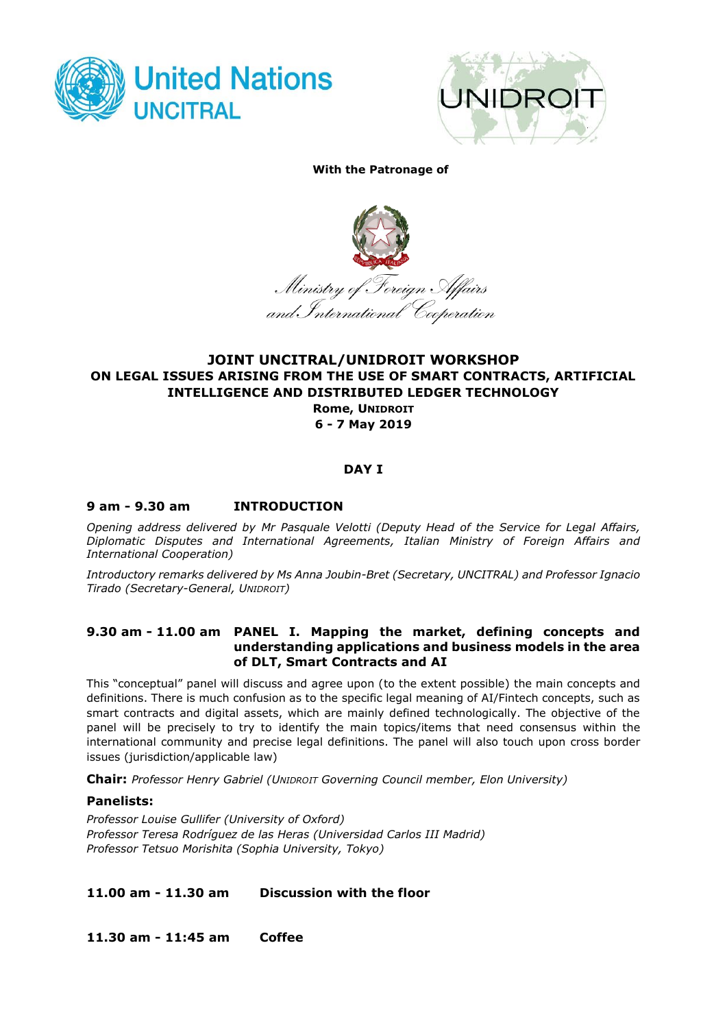



#### **With the Patronage of**



# **JOINT UNCITRAL/UNIDROIT WORKSHOP ON LEGAL ISSUES ARISING FROM THE USE OF SMART CONTRACTS, ARTIFICIAL INTELLIGENCE AND DISTRIBUTED LEDGER TECHNOLOGY**

**Rome, UNIDROIT 6 - 7 May 2019**

# **DAY I**

# **9 am - 9.30 am INTRODUCTION**

*Opening address delivered by Mr Pasquale Velotti (Deputy Head of the Service for Legal Affairs, Diplomatic Disputes and International Agreements, Italian Ministry of Foreign Affairs and International Cooperation)*

*Introductory remarks delivered by Ms Anna Joubin-Bret (Secretary, UNCITRAL) and Professor Ignacio Tirado (Secretary-General, UNIDROIT)*

#### **9.30 am - 11.00 am PANEL I. Mapping the market, defining concepts and understanding applications and business models in the area of DLT, Smart Contracts and AI**

This "conceptual" panel will discuss and agree upon (to the extent possible) the main concepts and definitions. There is much confusion as to the specific legal meaning of AI/Fintech concepts, such as smart contracts and digital assets, which are mainly defined technologically. The objective of the panel will be precisely to try to identify the main topics/items that need consensus within the international community and precise legal definitions. The panel will also touch upon cross border issues (jurisdiction/applicable law)

**Chair:** *Professor Henry Gabriel (UNIDROIT Governing Council member, Elon University)*

### **Panelists:**

*Professor Louise Gullifer (University of Oxford) Professor Teresa Rodríguez de las Heras (Universidad Carlos III Madrid) Professor Tetsuo Morishita (Sophia University, Tokyo)*

**11.00 am - 11.30 am Discussion with the floor**

**11.30 am - 11:45 am Coffee**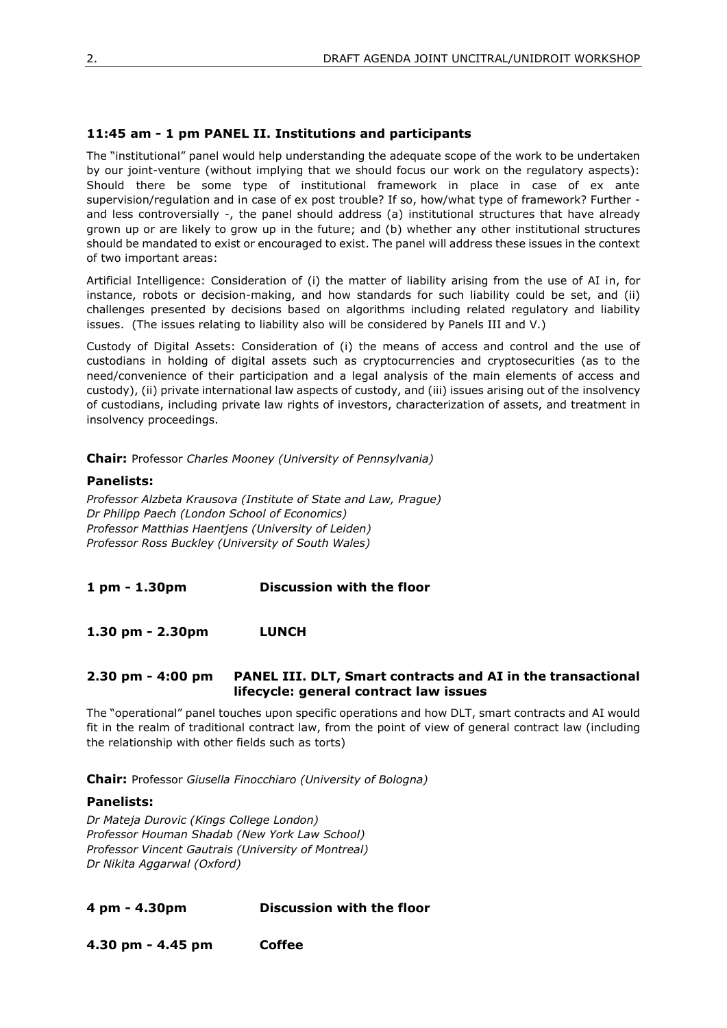# **11:45 am - 1 pm PANEL II. Institutions and participants**

The "institutional" panel would help understanding the adequate scope of the work to be undertaken by our joint-venture (without implying that we should focus our work on the regulatory aspects): Should there be some type of institutional framework in place in case of ex ante supervision/regulation and in case of ex post trouble? If so, how/what type of framework? Further and less controversially -, the panel should address (a) institutional structures that have already grown up or are likely to grow up in the future; and (b) whether any other institutional structures should be mandated to exist or encouraged to exist. The panel will address these issues in the context of two important areas:

Artificial Intelligence: Consideration of (i) the matter of liability arising from the use of AI in, for instance, robots or decision-making, and how standards for such liability could be set, and (ii) challenges presented by decisions based on algorithms including related regulatory and liability issues. (The issues relating to liability also will be considered by Panels III and V.)

Custody of Digital Assets: Consideration of (i) the means of access and control and the use of custodians in holding of digital assets such as cryptocurrencies and cryptosecurities (as to the need/convenience of their participation and a legal analysis of the main elements of access and custody), (ii) private international law aspects of custody, and (iii) issues arising out of the insolvency of custodians, including private law rights of investors, characterization of assets, and treatment in insolvency proceedings.

**Chair:** Professor *Charles Mooney (University of Pennsylvania)* 

### **Panelists:**

*Professor Alzbeta Krausova (Institute of State and Law, Prague) Dr Philipp Paech (London School of Economics) Professor Matthias Haentjens (University of Leiden) Professor Ross Buckley (University of South Wales)*

**1 pm - 1.30pm Discussion with the floor**

**1.30 pm - 2.30pm LUNCH**

### **2.30 pm - 4:00 pm PANEL III. DLT, Smart contracts and AI in the transactional lifecycle: general contract law issues**

The "operational" panel touches upon specific operations and how DLT, smart contracts and AI would fit in the realm of traditional contract law, from the point of view of general contract law (including the relationship with other fields such as torts)

**Chair:** Professor *Giusella Finocchiaro (University of Bologna)*

### **Panelists:**

*Dr Mateja Durovic (Kings College London) Professor Houman Shadab (New York Law School) Professor Vincent Gautrais (University of Montreal) Dr Nikita Aggarwal (Oxford)*

### **4 pm - 4.30pm Discussion with the floor**

**4.30 pm - 4.45 pm Coffee**